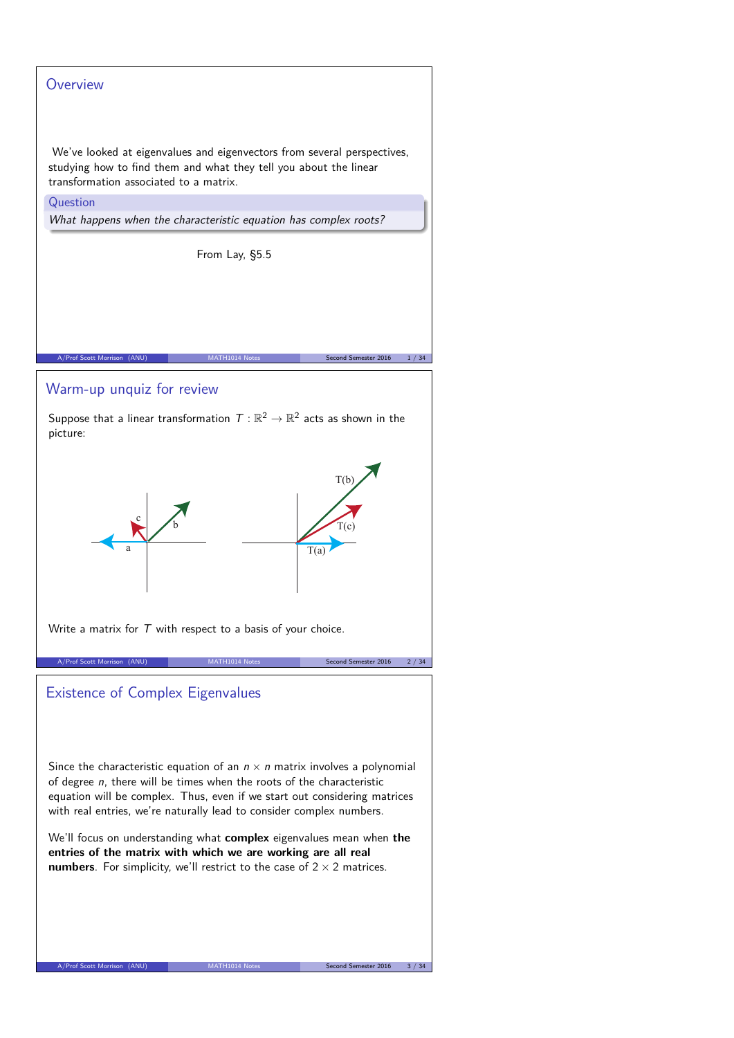# **Overview** We've looked at eigenvalues and eigenvectors from several perspectives, studying how to find them and what they tell you about the linear transformation associated to a matrix. Question What happens when the characteristic equation has complex roots? From Lay, §5.5 A/Prof Scott Morrison (ANU) MATH1014 Notes Second Semester 2016 1/34 Warm-up unquiz for review Suppose that a linear transformation  $\,\mathcal{T}:\mathbb{R}^2\to\mathbb{R}^2$  acts as shown in the picture: a T(b) c  $\overline{T(a)}$ b  $T(c)$ Write a matrix for  $T$  with respect to a basis of your choice. Arror Semester 2016 2/34 Existence of Complex Eigenvalues Since the characteristic equation of an  $n \times n$  matrix involves a polynomial of degree  $n$ , there will be times when the roots of the characteristic equation will be complex. Thus, even if we start out considering matrices with real entries, we're naturally lead to consider complex numbers. We'll focus on understanding what **complex** eigenvalues mean when **the entries of the matrix with which we are working are all real numbers**. For simplicity, we'll restrict to the case of  $2 \times 2$  matrices. A/Prof Scott Morrison (ANU) MATH1014 Notes Second Second Second Second Sex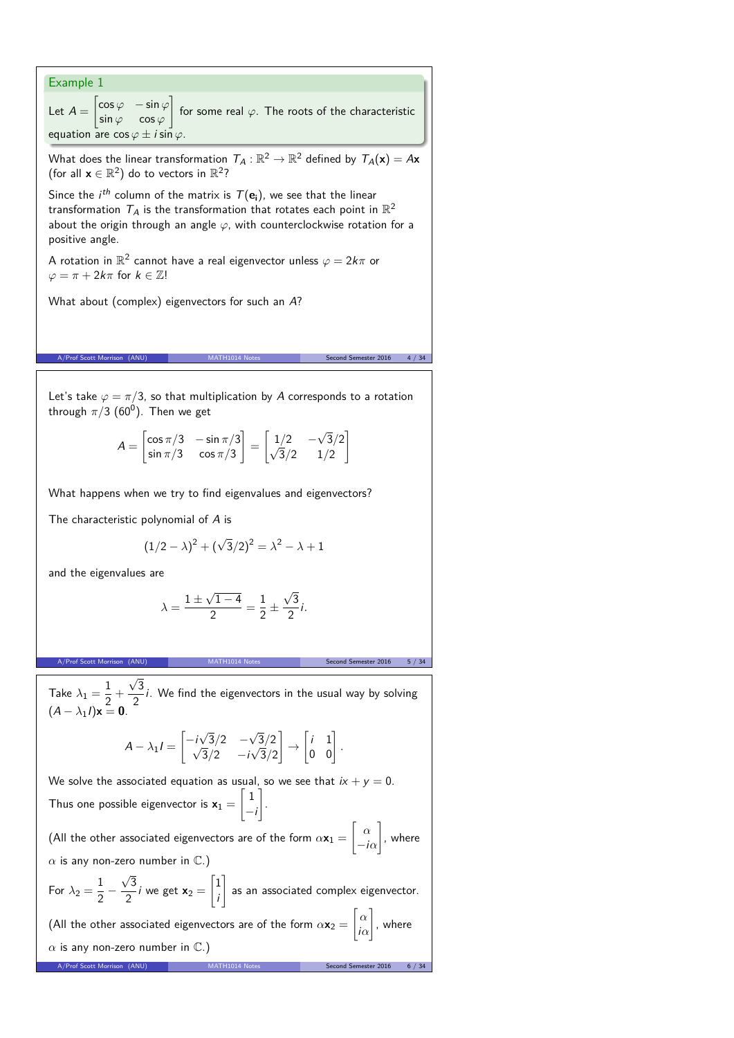| Example 1                                                                                                                                                                                                                                                                                   |
|---------------------------------------------------------------------------------------------------------------------------------------------------------------------------------------------------------------------------------------------------------------------------------------------|
| Let $A = \begin{vmatrix} \cos \varphi & -\sin \varphi \\ \sin \varphi & \cos \varphi \end{vmatrix}$ for some real $\varphi$ . The roots of the characteristic<br>equation are $\cos \varphi \pm i \sin \varphi$ .                                                                           |
| What does the linear transformation $\mathcal{T}_A:\mathbb{R}^2\to\mathbb{R}^2$ defined by $\mathcal{T}_A(\mathbf{x})=A\mathbf{x}$<br>(for all $\mathbf{x} \in \mathbb{R}^2$ ) do to vectors in $\mathbb{R}^2$ ?                                                                            |
| Since the <i>i</i> <sup>th</sup> column of the matrix is $T(e_i)$ , we see that the linear<br>transformation $T_A$ is the transformation that rotates each point in $\mathbb{R}^2$<br>about the origin through an angle $\varphi$ , with counterclockwise rotation for a<br>positive angle. |
| A rotation in $\mathbb{R}^2$ cannot have a real eigenvector unless $\varphi = 2k\pi$ or<br>$\varphi = \pi + 2k\pi$ for $k \in \mathbb{Z}!$                                                                                                                                                  |
| What about (complex) eigenvectors for such an A?                                                                                                                                                                                                                                            |
|                                                                                                                                                                                                                                                                                             |
| A/Prof Scott Morrison (ANU)<br>Second Semester 2016<br>4 / 34                                                                                                                                                                                                                               |
| Let's take $\varphi = \pi/3$ , so that multiplication by A corresponds to a rotation<br>through $\pi/3$ (60 <sup>0</sup> ). Then we get                                                                                                                                                     |
| $A = \begin{vmatrix} \cos \pi/3 & -\sin \pi/3 \\ \sin \pi/3 & \cos \pi/3 \end{vmatrix} = \begin{vmatrix} 1/2 & -\sqrt{3}/2 \\ \sqrt{3}/2 & 1/2 \end{vmatrix}$                                                                                                                               |
| What happens when we try to find eigenvalues and eigenvectors?                                                                                                                                                                                                                              |
| The characteristic polynomial of A is                                                                                                                                                                                                                                                       |
| $(1/2 - \lambda)^2 + (\sqrt{3}/2)^2 = \lambda^2 - \lambda + 1$                                                                                                                                                                                                                              |
| and the eigenvalues are                                                                                                                                                                                                                                                                     |
| $\lambda = \frac{1 \pm \sqrt{1-4}}{2} = \frac{1}{2} \pm \frac{\sqrt{3}}{2}i.$                                                                                                                                                                                                               |
| A/Prof Scott Morrison (ANU)<br>Second Semester 2016<br>MATH1014 Notes<br>5 / 34                                                                                                                                                                                                             |
|                                                                                                                                                                                                                                                                                             |
| Take $\lambda_1 = \frac{1}{2} + \frac{\sqrt{3}}{2}i$ . We find the eigenvectors in the usual way by solving<br>$(A - \lambda_1 I)\mathbf{x} = \mathbf{0}$ .                                                                                                                                 |
| $A - \lambda_1 I = \begin{vmatrix} -i\sqrt{3}/2 & -\sqrt{3}/2 \\ \sqrt{3}/2 & -i\sqrt{3}/2 \end{vmatrix} \rightarrow \begin{vmatrix} i & 1 \\ 0 & 0 \end{vmatrix}.$                                                                                                                         |
| We solve the associated equation as usual, so we see that $ix + y = 0$ .<br>Thus one possible eigenvector is $\mathbf{x}_1 = \begin{bmatrix} 1 \\ -i \end{bmatrix}$ .                                                                                                                       |
| (All the other associated eigenvectors are of the form $\alpha \mathbf{x}_1 = \begin{bmatrix} \alpha \\ -i\alpha \end{bmatrix}$ , where                                                                                                                                                     |
| $\alpha$ is any non-zero number in $\mathbb{C}.$ )                                                                                                                                                                                                                                          |
| For $\lambda_2 = \frac{1}{2} - \frac{\sqrt{3}}{2}i$ we get $\mathbf{x}_2 = \begin{vmatrix} 1 \\ i \end{vmatrix}$ as an associated complex eigenvector.                                                                                                                                      |
| (All the other associated eigenvectors are of the form $\alpha \mathbf{x}_2 = \begin{bmatrix} \alpha \\ i\alpha \end{bmatrix}$ , where                                                                                                                                                      |
| $\alpha$ is any non-zero number in $\mathbb{C}.$ )                                                                                                                                                                                                                                          |
| A/Prof Scott Morrison (ANU)<br>Second Semester 2016<br>6 / 34                                                                                                                                                                                                                               |
|                                                                                                                                                                                                                                                                                             |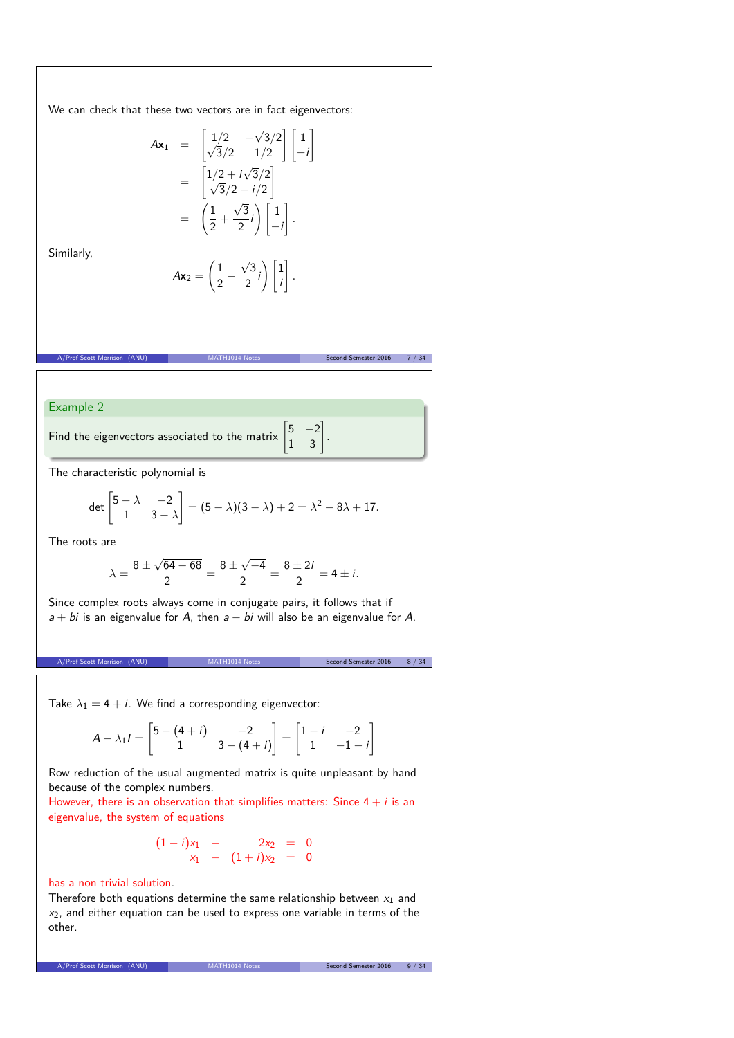We can check that these two vectors are in fact eigenvectors:

 $Ax_2 =$ 

$$
A\mathbf{x}_1 = \begin{bmatrix} 1/2 & -\sqrt{3}/2 \\ \sqrt{3}/2 & 1/2 \end{bmatrix} \begin{bmatrix} 1 \\ -i \end{bmatrix}
$$

$$
= \begin{bmatrix} 1/2 + i\sqrt{3}/2 \\ \sqrt{3}/2 - i/2 \end{bmatrix}
$$

$$
= \begin{bmatrix} \frac{1}{2} + \frac{\sqrt{3}}{2}i \end{bmatrix} \begin{bmatrix} 1 \\ -i \end{bmatrix}.
$$

$$
A\mathbf{x}_2 = \left(\frac{1}{2} - \frac{\sqrt{3}}{2}i\right) \begin{bmatrix} 1 \\ i \end{bmatrix}.
$$

 $\frac{1}{2}$ 

A/Prof Scott Morrison (ANU) MATH1014 Notes Second Semester 2016 7 / 34

i

*.*

Similarly,

Example 2

Find the eigenvectors associated to the matrix  $\begin{bmatrix} 5 & -2 \\ 1 & 3 \end{bmatrix}$ .

The characteristic polynomial is

$$
\det\begin{bmatrix} 5-\lambda & -2 \\ 1 & 3-\lambda \end{bmatrix} = (5-\lambda)(3-\lambda) + 2 = \lambda^2 - 8\lambda + 17.
$$

The roots are

$$
\lambda = \frac{8 \pm \sqrt{64 - 68}}{2} = \frac{8 \pm \sqrt{-4}}{2} = \frac{8 \pm 2i}{2} = 4 \pm i.
$$

Since complex roots always come in conjugate pairs, it follows that if  $a + bi$  is an eigenvalue for A, then  $a - bi$  will also be an eigenvalue for A.

A/Prof Scott Morrison (ANU) MATH1014 Notes Second Semester 2016 8 / 34

Take  $\lambda_1 = 4 + i$ . We find a corresponding eigenvector:

$$
A - \lambda_1 i = \begin{bmatrix} 5 - (4 + i) & -2 \\ 1 & 3 - (4 + i) \end{bmatrix} = \begin{bmatrix} 1 - i & -2 \\ 1 & -1 - i \end{bmatrix}
$$

Row reduction of the usual augmented matrix is quite unpleasant by hand because of the complex numbers.

However, there is an observation that simplifies matters: Since  $4 + i$  is an eigenvalue, the system of equations

$$
\begin{array}{rcl}\n(1-i)x_1 & - & 2x_2 & = & 0 \\
x_1 & - & (1+i)x_2 & = & 0\n\end{array}
$$

### has a non trivial solution.

Therefore both equations determine the same relationship between  $x_1$  and  $x<sub>2</sub>$ , and either equation can be used to express one variable in terms of the other.

A/Prof Scott Morrison (ANU) MATH1014 Notes Second Semester 2016 9 / 34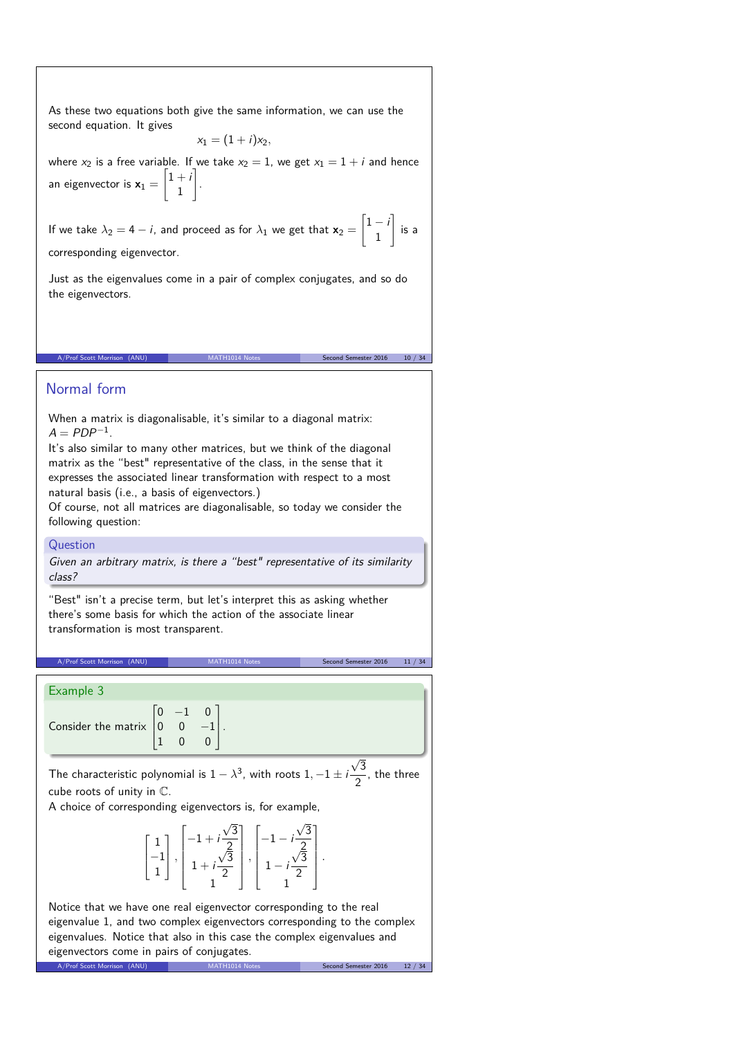As these two equations both give the same information, we can use the second equation. It gives

$$
x_1=(1+i)x_2,
$$

where  $x_2$  is a free variable. If we take  $x_2 = 1$ , we get  $x_1 = 1 + i$  and hence an eigenvector is  $x_1 =$  $\lceil 1 + i \rceil$ 1 1 .

If we take  $\lambda_2 = 4 - i$ , and proceed as for  $\lambda_1$  we get that  $\mathbf{x}_2 =$  $\left[1-i\right]$ 1 1 is a corresponding eigenvector.

A/Prof Scott Morrison (ANU) MATH1014 Notes Second Semester 2016 10 / 34

Just as the eigenvalues come in a pair of complex conjugates, and so do the eigenvectors.

# Normal form

When a matrix is diagonalisable, it's similar to a diagonal matrix:  $A = PDP^{-1}$ .

It's also similar to many other matrices, but we think of the diagonal matrix as the "best" representative of the class, in the sense that it expresses the associated linear transformation with respect to a most natural basis (i.e., a basis of eigenvectors.)

Of course, not all matrices are diagonalisable, so today we consider the following question:

## Question

Given an arbitrary matrix, is there a "best" representative of its similarity class?

"Best" isn't a precise term, but let's interpret this as asking whether there's some basis for which the action of the associate linear transformation is most transparent.

A/Prof Scott Morrison (ANU) MATH1014 Notes Second Semester 2016 11 / 34

#### Example 3

|                                                           | $-1$ 0 |  |
|-----------------------------------------------------------|--------|--|
| Consider the matrix $\begin{vmatrix} 0 & 0 \end{vmatrix}$ |        |  |
|                                                           |        |  |

A/Prof Scott Morrison (ANU) MATH1

The characteristic polynomial is  $1 - \lambda^3$ , with roots  $1, -1 \pm i$  $\sqrt{3}$  $\frac{1}{2}$ , the three cube roots of unity in C.

A choice of corresponding eigenvectors is, for example,

$$
\begin{bmatrix} 1 \\ -1 \\ 1 \end{bmatrix}, \begin{bmatrix} -1 + i\frac{\sqrt{3}}{2} \\ 1 + i\frac{\sqrt{3}}{2} \\ 1 \end{bmatrix}, \begin{bmatrix} -1 - i\frac{\sqrt{3}}{2} \\ 1 - i\frac{\sqrt{3}}{2} \\ 1 \end{bmatrix}.
$$

Notice that we have one real eigenvector corresponding to the real eigenvalue 1, and two complex eigenvectors corresponding to the complex eigenvalues. Notice that also in this case the complex eigenvalues and eigenvectors come in pairs of conjugates.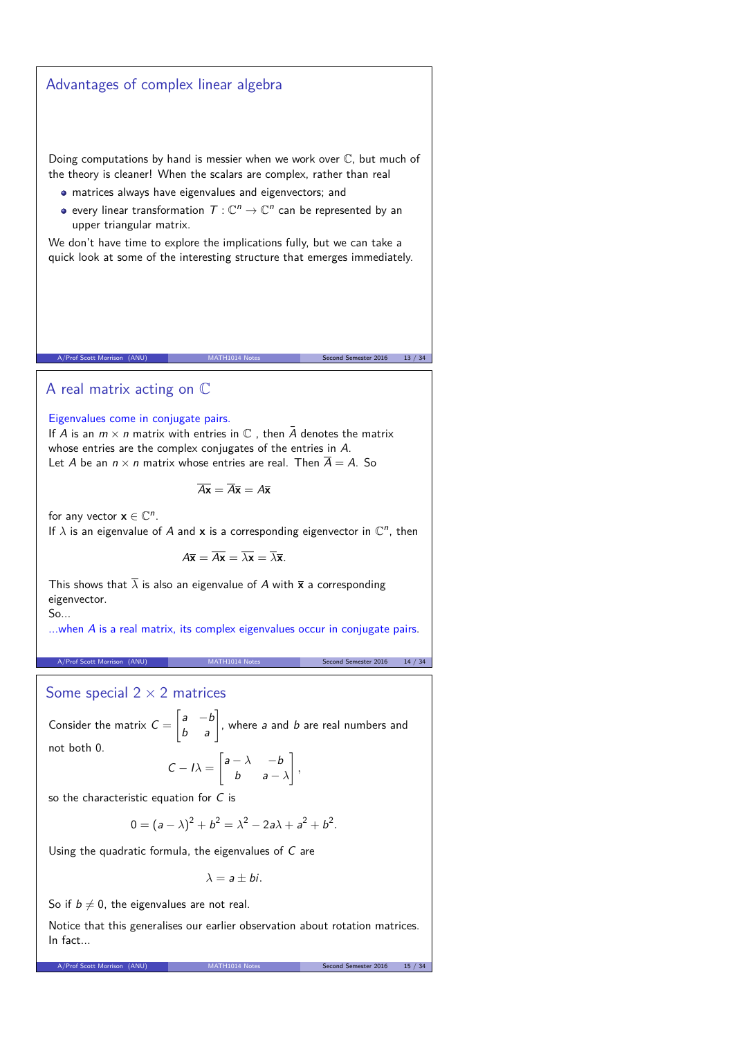Advantages of complex linear algebra

\nDiong computations by hand is messier when we work over C, but much of the theory is clear! When the scalars are complex, rather than real **•** matrices always have eigenvalues and eigenvectors; and **•** every linear transformation 
$$
T: \mathbb{C}^n \to \mathbb{C}^n
$$
 can be represented by an upper triangular matrix.

\nWe don't have time to explore the implications fully, but we can take a quick look at some of the interesting structure that emerges immediately, and the order to explore the implications fully, but we can take a quick look at some of the interesting structure that emerges immediately.

\nAfter Section 16M

\nArea matrix acting on  $\mathbb{C}$ 

\nFigure 17.1

\nFigure 27.1

\nArea between the complex conjugates of the entries in A.

\nArea matrix with entries in C, then  $\overline{A}$  denotes the matrix whose entries are the complex conjugates of the entries in A.

\nLet A be an *n* × *n* matrix with entries in C, then  $\overline{A}$  denotes the matrix  $\overline{Ax} = \overline{Ax} = \overline{Ax}$ .

\nFor any vector  $x \in \mathbb{C}^n$ .

\nIf A is an eigenvalue of A and **x** is a corresponding eigenvector in  $\mathbb{C}^n$ , then  $A\overline{x} = \overline{Ax} = \overline{\lambda}x$ .

\nThis shows that  $\overline{\lambda}$  is also an eigenvalue of A with **x** a corresponding eigenvector.

\nSince  $A\overline{x} = \overline{Ax} = \overline{\lambda}x$ .

\nThese solutions are real, and *b* are real numbers and not both 0.

\nCase 1

\nSince  $x = \begin{bmatrix} 1 & -b \\ b & a \end{bmatrix}$ , where *a* and *b* are real numbers and not both 0.

\nCase 2016

\nConsider the matrix  $C = \begin{bmatrix} 1 & -b \\ b & a \end{bmatrix}$ , where *a* and *b* are real numbers and not both 0.

\nSince  $A = \begin{bmatrix} 1 & -b \\ b & a \end{bmatrix}$ , where *a* and <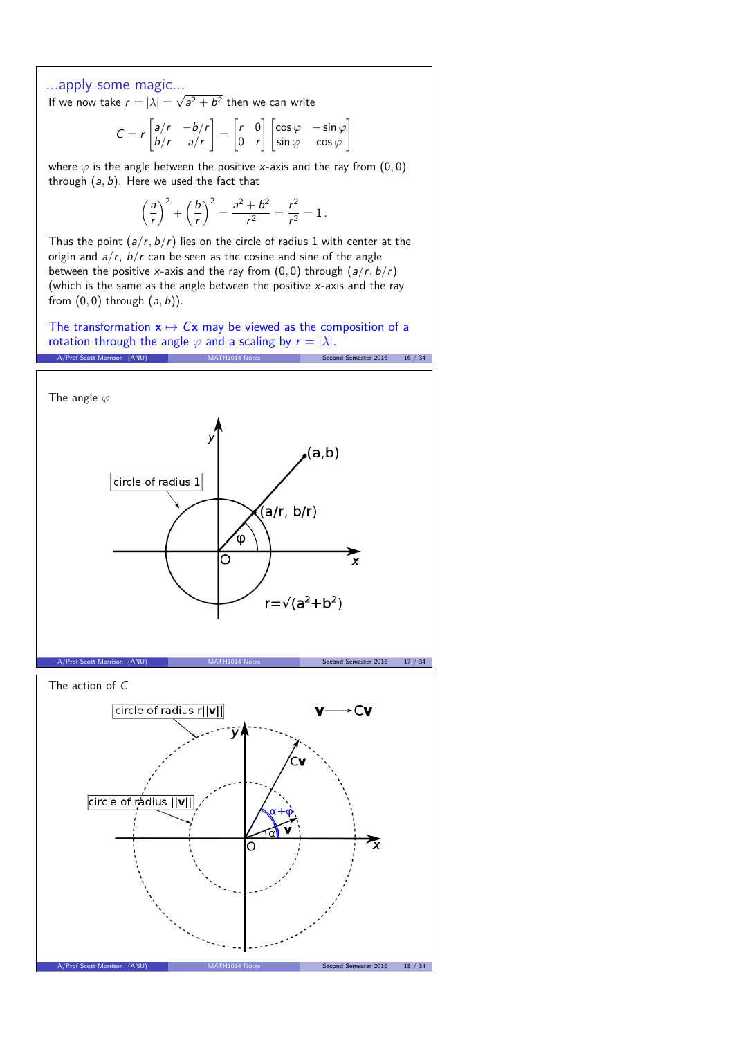## ...apply some magic...

If we now take  $r = |\lambda| = \sqrt{a^2 + b^2}$  then we can write

$$
C = r \begin{bmatrix} a/r & -b/r \\ b/r & a/r \end{bmatrix} = \begin{bmatrix} r & 0 \\ 0 & r \end{bmatrix} \begin{bmatrix} \cos \varphi & -\sin \varphi \\ \sin \varphi & \cos \varphi \end{bmatrix}
$$

where  $\varphi$  is the angle between the positive x-axis and the ray from  $(0,0)$ through (a*,* b). Here we used the fact that

$$
\left(\frac{a}{r}\right)^2 + \left(\frac{b}{r}\right)^2 = \frac{a^2 + b^2}{r^2} = \frac{r^2}{r^2} = 1.
$$

Thus the point (a*/*r*,* b*/*r) lies on the circle of radius 1 with center at the origin and a*/*r, b*/*r can be seen as the cosine and sine of the angle between the positive x-axis and the ray from  $(0, 0)$  through  $(a/r, b/r)$ (which is the same as the angle between the positive  $x$ -axis and the ray from (0*,* 0) through (a*,* b)).

The transformation  $x \mapsto Cx$  may be viewed as the composition of a rotation through the angle  $\varphi$  and a scaling by  $r = |\lambda|$ . A/Prof Scott Morrison (ANU) MATH1014 Notes Second Semester 2016 16 / 34

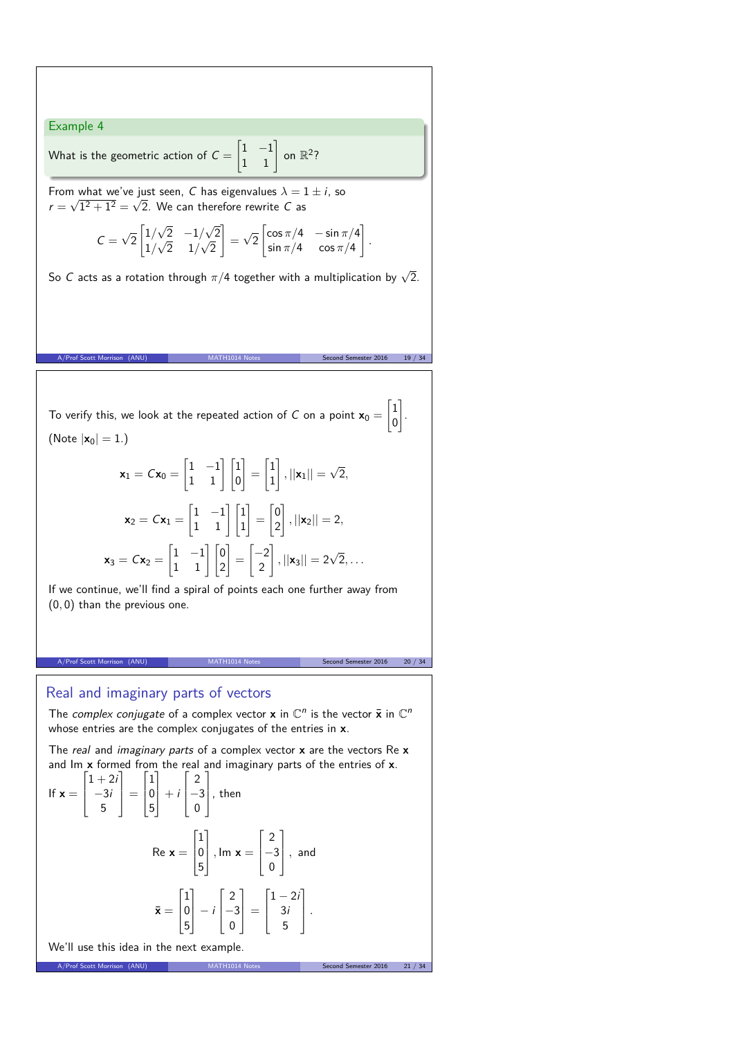Example 4

What is the geometric action of  $C =$  $\begin{bmatrix} 1 & -1 \\ 1 & 1 \end{bmatrix}$  on  $\mathbb{R}^2$ ?

From what we've just seen, C has eigenvalues  $\lambda = 1 \pm i$ , so  $r = \sqrt{1^2 + 1^2} = \sqrt{2}$ . We can therefore rewrite C as

$$
C = \sqrt{2} \begin{bmatrix} 1/\sqrt{2} & -1/\sqrt{2} \\ 1/\sqrt{2} & 1/\sqrt{2} \end{bmatrix} = \sqrt{2} \begin{bmatrix} \cos \pi/4 & -\sin \pi/4 \\ \sin \pi/4 & \cos \pi/4 \end{bmatrix}.
$$

So C acts as a rotation through  $\pi/4$  together with a multiplication by  $\sqrt{2}$ .

To verify this, we look at the repeated action of  $C$  on a point  $\mathbf{x}_0 =$  $\lceil 1 \rceil$ (Note  $|x_0| = 1.$ )

$$
\mathbf{x}_1 = C\mathbf{x}_0 = \begin{bmatrix} 1 & -1 \\ 1 & 1 \end{bmatrix} \begin{bmatrix} 1 \\ 0 \end{bmatrix} = \begin{bmatrix} 1 \\ 1 \end{bmatrix}, ||\mathbf{x}_1|| = \sqrt{2},
$$

$$
\mathbf{x}_2 = C\mathbf{x}_1 = \begin{bmatrix} 1 & -1 \\ 1 & 1 \end{bmatrix} \begin{bmatrix} 1 \\ 1 \end{bmatrix} = \begin{bmatrix} 0 \\ 2 \end{bmatrix}, ||\mathbf{x}_2|| = 2,
$$

$$
\mathbf{x}_3 = C\mathbf{x}_2 = \begin{bmatrix} 1 & -1 \\ 1 & 1 \end{bmatrix} \begin{bmatrix} 0 \\ 2 \end{bmatrix} = \begin{bmatrix} -2 \\ 2 \end{bmatrix}, ||\mathbf{x}_3|| = 2\sqrt{2}, \dots
$$

If we continue, we'll find a spiral of points each one further away from (0*,* 0) than the previous one.

A/Prof Scott Morrison (ANU) MATH1014 Notes Second Semester 2016 20 / 34

Second Semester 2016 19 / 34

0 1 .

## Real and imaginary parts of vectors

The complex conjugate of a complex vector **x** in  $\mathbb{C}^n$  is the vector  $\bar{\mathbf{x}}$  in  $\mathbb{C}^n$ whose entries are the complex conjugates of the entries in **x**.

The real and imaginary parts of a complex vector **x** are the vectors Re **x** and Im **x** formed from the real and imaginary parts of the entries of **x**.

If 
$$
\mathbf{x} = \begin{bmatrix} 1+2i \\ -3i \\ 5 \end{bmatrix} = \begin{bmatrix} 1 \\ 0 \\ 5 \end{bmatrix} + i \begin{bmatrix} 2 \\ -3 \\ 0 \end{bmatrix}
$$
, then  
\n
$$
\text{Re } \mathbf{x} = \begin{bmatrix} 1 \\ 0 \\ 5 \end{bmatrix}, \text{ Im } \mathbf{x} = \begin{bmatrix} 2 \\ -3 \\ 0 \end{bmatrix}, \text{ and}
$$
\n
$$
\bar{\mathbf{x}} = \begin{bmatrix} 1 \\ 0 \\ 5 \end{bmatrix} - i \begin{bmatrix} 2 \\ -3 \\ 0 \end{bmatrix} = \begin{bmatrix} 1-2i \\ 3i \\ 5 \end{bmatrix}.
$$
\nMultiply the side is the graph equals

A/Prof Scott Morrison (ANU) MATH1014 Notes Second Semester 2016 21

We'll use this idea in the next example.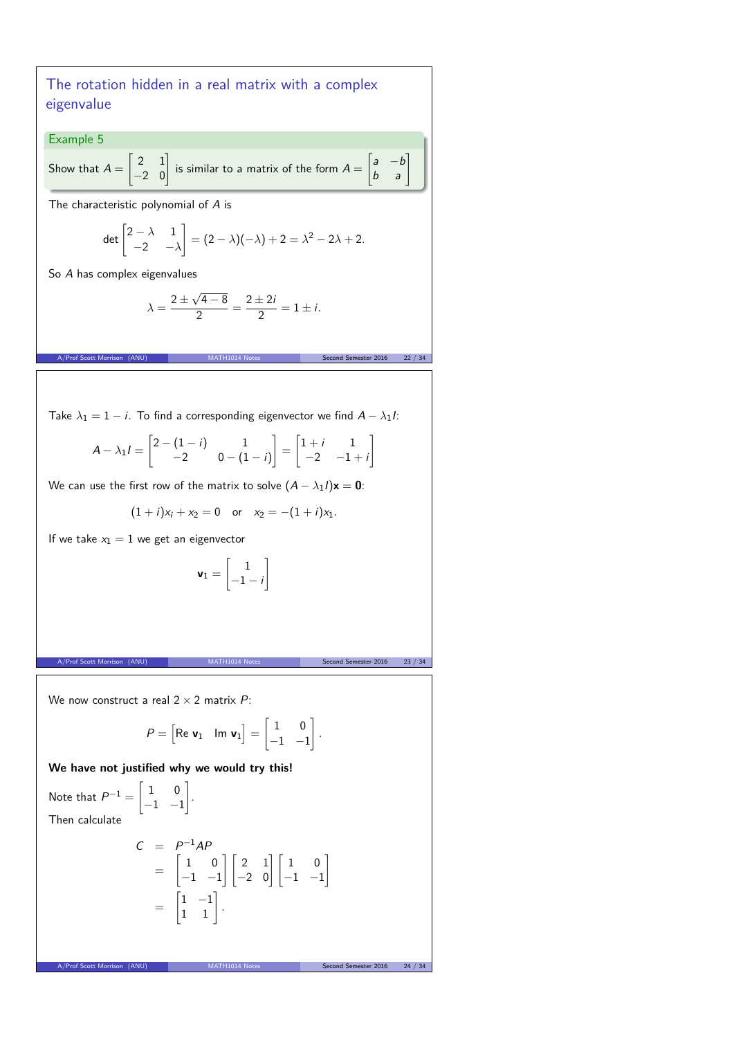The rotation hidden in a real matrix with a complex eigenvalue

Example 5

Show that  $A =$  $\begin{bmatrix} 2 & 1 \\ -2 & 0 \end{bmatrix}$ is similar to a matrix of the form  $A =$  $\begin{bmatrix} a & -b \\ b & a \end{bmatrix}$ 

The characteristic polynomial of A is

$$
\det\begin{bmatrix}2-\lambda & 1\\-2 & -\lambda\end{bmatrix}=(2-\lambda)(-\lambda)+2=\lambda^2-2\lambda+2.
$$

So A has complex eigenvalues

$$
\lambda = \frac{2 \pm \sqrt{4 - 8}}{2} = \frac{2 \pm 2i}{2} = 1 \pm i.
$$

A/Prof Scott Morrison (ANU) MATH1014 Notes Second Semester 2016 22 / 34

Take  $\lambda_1 = 1 - i$ . To find a corresponding eigenvector we find  $A - \lambda_1 I$ :

$$
A - \lambda_1 I = \begin{bmatrix} 2 - (1 - i) & 1 \\ -2 & 0 - (1 - i) \end{bmatrix} = \begin{bmatrix} 1 + i & 1 \\ -2 & -1 + i \end{bmatrix}
$$

We can use the first row of the matrix to solve  $(A - \lambda_1 I)\mathbf{x} = \mathbf{0}$ :

$$
(1+i)x_i + x_2 = 0
$$
 or  $x_2 = -(1+i)x_1$ .

If we take  $x_1 = 1$  we get an eigenvector

$$
\textbf{v}_1 = \begin{bmatrix} 1 \\ -1 - i \end{bmatrix}
$$

A/Prof Scott Morrison (ANU) MATH1014 Notes Second Semester 2016 23 / 34

We now construct a real  $2 \times 2$  matrix P:

$$
P = \begin{bmatrix} \text{Re } \mathbf{v}_1 & \text{Im } \mathbf{v}_1 \end{bmatrix} = \begin{bmatrix} 1 & 0 \\ -1 & -1 \end{bmatrix}.
$$

**We have not justified why we would try this!**

1 .

Note that  $P^{-1} =$  $\begin{bmatrix} 1 & 0 \end{bmatrix}$  $\begin{bmatrix} -1 & -1 \end{bmatrix}$ Then calculate

$$
C = P^{-1}AP
$$
  
=  $\begin{bmatrix} 1 & 0 \\ -1 & -1 \end{bmatrix} \begin{bmatrix} 2 & 1 \\ -2 & 0 \end{bmatrix} \begin{bmatrix} 1 & 0 \\ -1 & -1 \end{bmatrix}$   
=  $\begin{bmatrix} 1 & -1 \\ 1 & 1 \end{bmatrix}$ .

A/Prof Scott Morrison (ANU) MATH1014 Notes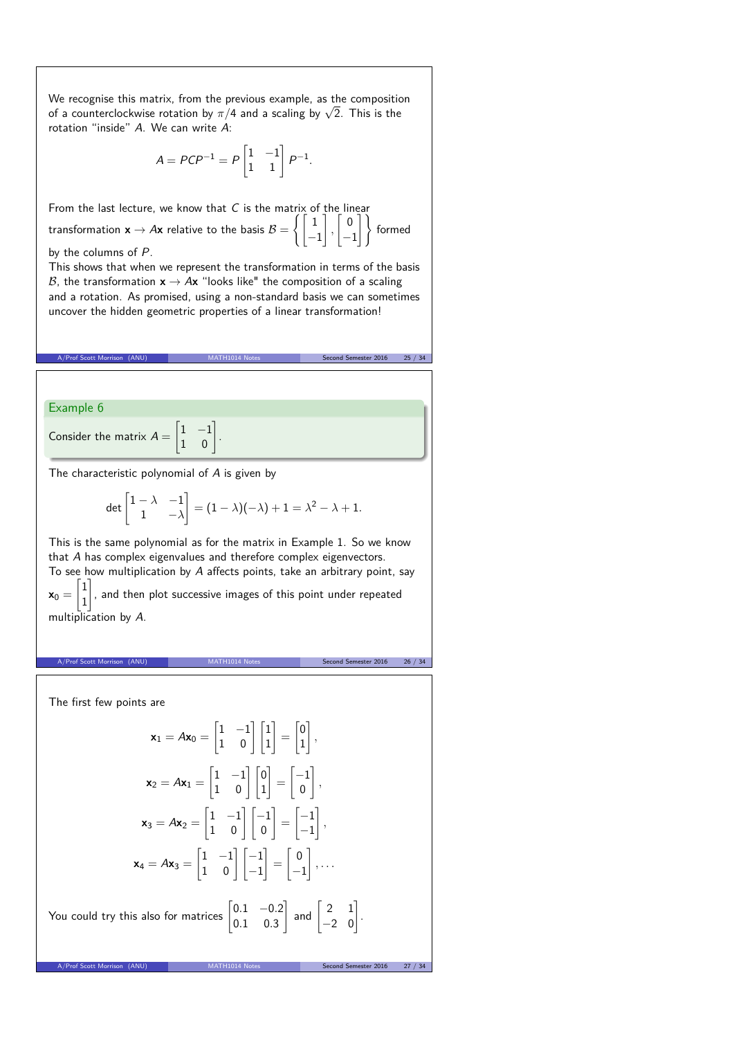We recognise this matrix, from the previous example, as the composition of a counterclockwise rotation by  $\pi/4$  and a scaling by  $\sqrt{2}$ . This is the rotation "inside" A. We can write A:

$$
A = PCP^{-1} = P \begin{bmatrix} 1 & -1 \\ 1 & 1 \end{bmatrix} P^{-1}.
$$

From the last lecture, we know that  $C$  is the matrix of the linear transformation  $\mathbf{x} \rightarrow A\mathbf{x}$  relative to the basis  $\mathcal{B} =$  $\int$ [1 −1 1 *,*  $\lceil 0$ −1 #) formed by the columns of P.

This shows that when we represent the transformation in terms of the basis B, the transformation  $x \rightarrow Ax$  "looks like" the composition of a scaling and a rotation. As promised, using a non-standard basis we can sometimes uncover the hidden geometric properties of a linear transformation!

|                                                                           |                                                                                                                                                                                                                               | Second Semester 2016<br>25 / 34   |  |
|---------------------------------------------------------------------------|-------------------------------------------------------------------------------------------------------------------------------------------------------------------------------------------------------------------------------|-----------------------------------|--|
|                                                                           |                                                                                                                                                                                                                               |                                   |  |
| Example 6                                                                 |                                                                                                                                                                                                                               |                                   |  |
| Consider the matrix $A = \begin{bmatrix} 1 & -1 \\ 1 & 0 \end{bmatrix}$ . |                                                                                                                                                                                                                               |                                   |  |
|                                                                           | The characteristic polynomial of A is given by                                                                                                                                                                                |                                   |  |
|                                                                           | det $\begin{bmatrix} 1 - \lambda & -1 \\ 1 & -\lambda \end{bmatrix}$ = $(1 - \lambda)(-\lambda) + 1 = \lambda^2 - \lambda + 1$ .                                                                                              |                                   |  |
|                                                                           | This is the same polynomial as for the matrix in Example 1. So we know<br>that $A$ has complex eigenvalues and therefore complex eigenvectors.<br>To see how multiplication by A affects points, take an arbitrary point, say |                                   |  |
| multiplication by A.                                                      | $\mathbf{x}_0 = \begin{bmatrix} 1 \\ 1 \end{bmatrix}$ , and then plot successive images of this point under repeated                                                                                                          |                                   |  |
|                                                                           |                                                                                                                                                                                                                               |                                   |  |
| A/Prof Scott Morrison<br>(ANU)                                            |                                                                                                                                                                                                                               | Second Semester 2016<br>26 / 34   |  |
|                                                                           |                                                                                                                                                                                                                               |                                   |  |
| The first few points are                                                  |                                                                                                                                                                                                                               |                                   |  |
|                                                                           | $\mathbf{x}_1 = A\mathbf{x}_0 = \begin{vmatrix} 1 & -1 \\ 1 & 0 \end{vmatrix} \begin{vmatrix} 1 \\ 1 \end{vmatrix} = \begin{vmatrix} 0 \\ 1 \end{vmatrix},$                                                                   |                                   |  |
|                                                                           | $\mathbf{x}_2 = A\mathbf{x}_1 = \begin{vmatrix} 1 & -1 \\ 1 & 0 \end{vmatrix} \begin{vmatrix} 0 \\ 1 \end{vmatrix} = \begin{vmatrix} -1 \\ 0 \end{vmatrix},$                                                                  |                                   |  |
|                                                                           | $\mathbf{x}_3 = A\mathbf{x}_2 = \begin{bmatrix} 1 & -1 \\ 1 & 0 \end{bmatrix} \begin{bmatrix} -1 \\ 0 \end{bmatrix} = \begin{bmatrix} -1 \\ -1 \end{bmatrix},$                                                                |                                   |  |
|                                                                           | $\mathbf{x}_4 = A\mathbf{x}_3 = \begin{vmatrix} 1 & -1 \\ 1 & 0 \end{vmatrix} \begin{vmatrix} -1 \\ -1 \end{vmatrix} = \begin{vmatrix} 0 \\ -1 \end{vmatrix}, \dots$                                                          |                                   |  |
|                                                                           | You could try this also for matrices $\begin{vmatrix} 0.1 & -0.2 \\ 0.1 & 0.3 \end{vmatrix}$ and $\begin{vmatrix} 2 & 1 \\ -2 & 0 \end{vmatrix}$ .                                                                            |                                   |  |
| A/Prof Scott Morrison (ANU)                                               |                                                                                                                                                                                                                               | Second Semester 2016<br>27/<br>34 |  |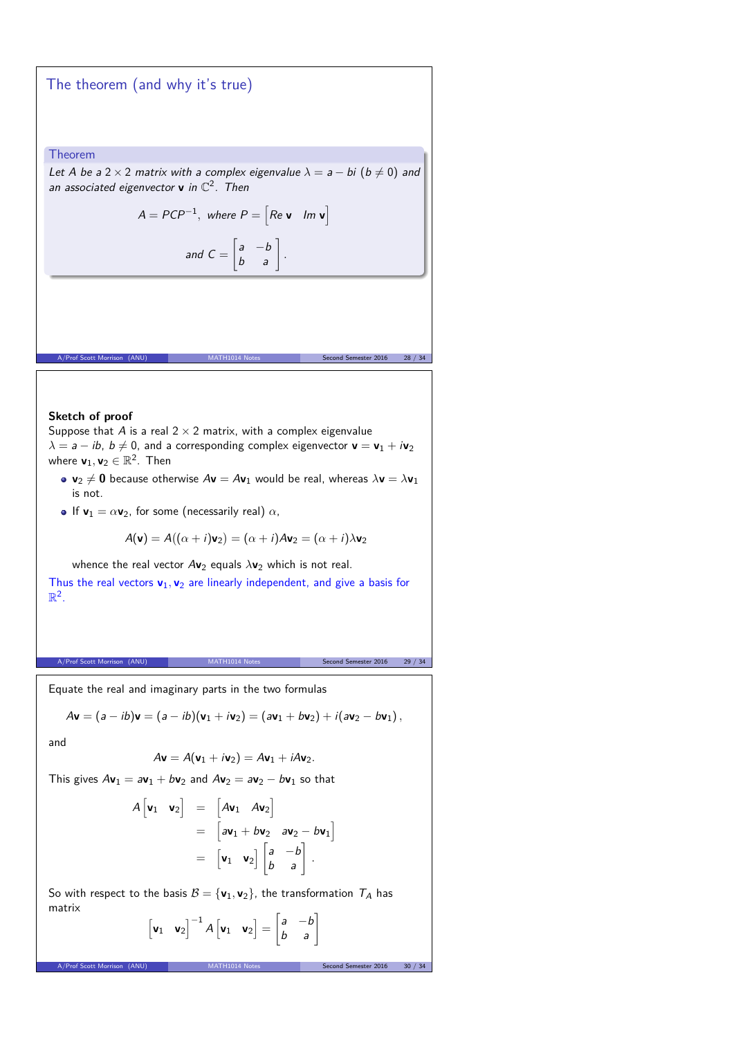The theorem (and why it's true)

Theorem

Let A be a 2 × 2 matrix with a complex eigenvalue  $\lambda = a - bi$  ( $b \neq 0$ ) and an associated eigenvector  $\mathbf v$  in  $\mathbb C^2$ . Then

> $A = PCP^{-1}$ , where  $P = \begin{bmatrix} Re \mathbf{v} & Im \mathbf{v} \end{bmatrix}$  $\begin{bmatrix} a & -b \\ b & a \end{bmatrix}$ .

and  $C =$ 

#### **Sketch of proof**

Suppose that A is a real  $2 \times 2$  matrix, with a complex eigenvalue  $\lambda = a - ib$ ,  $b \neq 0$ , and a corresponding complex eigenvector  $\mathbf{v} = \mathbf{v}_1 + i\mathbf{v}_2$ where  $\mathbf{v}_1, \mathbf{v}_2 \in \mathbb{R}^2$ . Then

•  $v_2 \neq 0$  because otherwise  $Av = Av_1$  would be real, whereas  $\lambda v = \lambda v_1$ is not.

A/Prof Scott Morrison (ANU) MATH1014 Notes Second Semester 2016 28 / 34

**•** If  $\mathbf{v}_1 = \alpha \mathbf{v}_2$ , for some (necessarily real)  $\alpha$ ,

$$
A(\mathbf{v}) = A((\alpha + i)\mathbf{v}_2) = (\alpha + i)A\mathbf{v}_2 = (\alpha + i)\lambda\mathbf{v}_2
$$

whence the real vector  $Av_2$  equals  $\lambda v_2$  which is not real. Thus the real vectors  $v_1$ ,  $v_2$  are linearly independent, and give a basis for  $\mathbb{R}^2$ .

A/Prof Scott Morrison (ANU) MATH1014 Notes Second Semester 2016 29 / 34

Equate the real and imaginary parts in the two formulas

$$
A\mathbf{v} = (a - ib)\mathbf{v} = (a - ib)(\mathbf{v}_1 + i\mathbf{v}_2) = (a\mathbf{v}_1 + b\mathbf{v}_2) + i(a\mathbf{v}_2 - b\mathbf{v}_1),
$$

and

$$
A\mathbf{v}=A(\mathbf{v}_1+i\mathbf{v}_2)=A\mathbf{v}_1+iA\mathbf{v}_2.
$$

This gives  $A\mathbf{v}_1 = a\mathbf{v}_1 + b\mathbf{v}_2$  and  $A\mathbf{v}_2 = a\mathbf{v}_2 - b\mathbf{v}_1$  so that

$$
A\begin{bmatrix} \mathbf{v}_1 & \mathbf{v}_2 \end{bmatrix} = \begin{bmatrix} A\mathbf{v}_1 & A\mathbf{v}_2 \end{bmatrix}
$$
  
= 
$$
\begin{bmatrix} a\mathbf{v}_1 + b\mathbf{v}_2 & a\mathbf{v}_2 - b\mathbf{v}_1 \end{bmatrix}
$$
  
= 
$$
\begin{bmatrix} \mathbf{v}_1 & \mathbf{v}_2 \end{bmatrix} \begin{bmatrix} a & -b \\ b & a \end{bmatrix}.
$$

So with respect to the basis  $B = {\mathbf{v}_1, \mathbf{v}_2}$ , the transformation  $T_A$  has matrix

$$
\begin{bmatrix} \mathbf{v}_1 & \mathbf{v}_2 \end{bmatrix}^{-1} A \begin{bmatrix} \mathbf{v}_1 & \mathbf{v}_2 \end{bmatrix} = \begin{bmatrix} a & -b \\ b & a \end{bmatrix}
$$

A/Prof Scott Morrison (ANU) MATH1014 Notes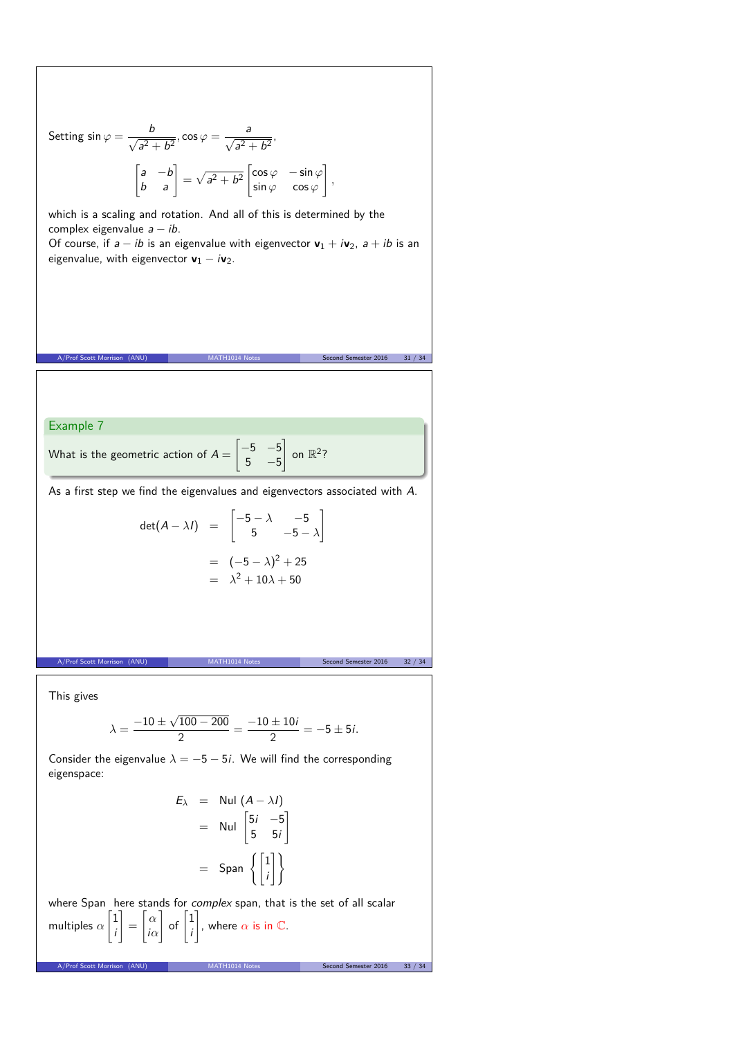Setting 
$$
\sin \varphi = \frac{b}{\sqrt{a^2 + b^2}}
$$
,  $\cos \varphi = \frac{a}{\sqrt{a^2 + b^2}}$ .  
\n
$$
\begin{bmatrix} a & -b \\ b & a \end{bmatrix} = \sqrt{a^2 + b^2} \begin{bmatrix} \cos \varphi & -\sin \varphi \\ \sin \varphi & \cos \varphi \end{bmatrix}
$$
\nwhich is a scaling and rotation. And all of this is determined by the  
\ncomplex eigenvalue  $a - ib$ .  
\nOf course, if  $a - ib$  is an eigenvalue with eigenvector  $\mathbf{v}_1 + i\mathbf{v}_2$ ,  $a + ib$  is an  
\neigenvalue, with eigenvector  $\mathbf{v}_1 - i\mathbf{v}_2$ .  
\nA/Prof Scott Morrison (ANU)

What is the geometric action of  $A=\emptyset$  $5 - 5$ on  $\mathbb{R}^2$ ?

As a first step we find the eigenvalues and eigenvectors associated with A.

$$
\det(A - \lambda I) = \begin{bmatrix} -5 - \lambda & -5 \\ 5 & -5 - \lambda \end{bmatrix}
$$

$$
= (-5 - \lambda)^2 + 25
$$

$$
= \lambda^2 + 10\lambda + 50
$$

This gives

$$
\lambda = \frac{-10 \pm \sqrt{100 - 200}}{2} = \frac{-10 \pm 10i}{2} = -5 \pm 5i.
$$

A/Prof Scott Morrison (ANU) MATH1014 Notes Second Semester 2016 32 / 34

Consider the eigenvalue  $\lambda = -5 - 5i$ . We will find the corresponding eigenspace:

$$
E_{\lambda} = \text{Nul} (A - \lambda I)
$$
  
= \text{Nul}  $\begin{bmatrix} 5i & -5 \\ 5 & 5i \end{bmatrix}$   
= \text{Span}  $\left\{ \begin{bmatrix} 1 \\ i \end{bmatrix} \right\}$ 

where Span here stands for *complex* span, that is the set of all scalar multiples *α*  $\lceil 1 \rceil$ i 1 = " *α* i*α*  $\Big]$  of  $\Big[1\Big]$ i 1 , where  $\alpha$  is in  $\mathbb C$ .

A/Prof Scott Morrison (ANU) MATH1014 Notes Second Semester 2016 33 / 34